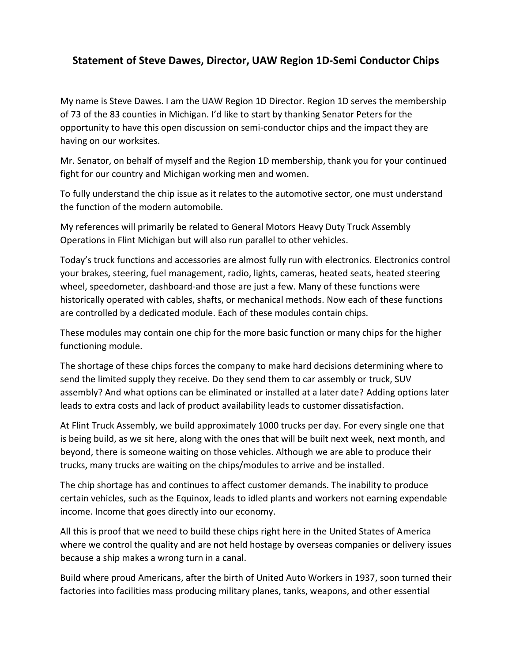## **Statement of Steve Dawes, Director, UAW Region 1D-Semi Conductor Chips**

My name is Steve Dawes. I am the UAW Region 1D Director. Region 1D serves the membership of 73 of the 83 counties in Michigan. I'd like to start by thanking Senator Peters for the opportunity to have this open discussion on semi-conductor chips and the impact they are having on our worksites.

Mr. Senator, on behalf of myself and the Region 1D membership, thank you for your continued fight for our country and Michigan working men and women.

To fully understand the chip issue as it relates to the automotive sector, one must understand the function of the modern automobile.

My references will primarily be related to General Motors Heavy Duty Truck Assembly Operations in Flint Michigan but will also run parallel to other vehicles.

Today's truck functions and accessories are almost fully run with electronics. Electronics control your brakes, steering, fuel management, radio, lights, cameras, heated seats, heated steering wheel, speedometer, dashboard-and those are just a few. Many of these functions were historically operated with cables, shafts, or mechanical methods. Now each of these functions are controlled by a dedicated module. Each of these modules contain chips.

These modules may contain one chip for the more basic function or many chips for the higher functioning module.

The shortage of these chips forces the company to make hard decisions determining where to send the limited supply they receive. Do they send them to car assembly or truck, SUV assembly? And what options can be eliminated or installed at a later date? Adding options later leads to extra costs and lack of product availability leads to customer dissatisfaction.

At Flint Truck Assembly, we build approximately 1000 trucks per day. For every single one that is being build, as we sit here, along with the ones that will be built next week, next month, and beyond, there is someone waiting on those vehicles. Although we are able to produce their trucks, many trucks are waiting on the chips/modules to arrive and be installed.

The chip shortage has and continues to affect customer demands. The inability to produce certain vehicles, such as the Equinox, leads to idled plants and workers not earning expendable income. Income that goes directly into our economy.

All this is proof that we need to build these chips right here in the United States of America where we control the quality and are not held hostage by overseas companies or delivery issues because a ship makes a wrong turn in a canal.

Build where proud Americans, after the birth of United Auto Workers in 1937, soon turned their factories into facilities mass producing military planes, tanks, weapons, and other essential